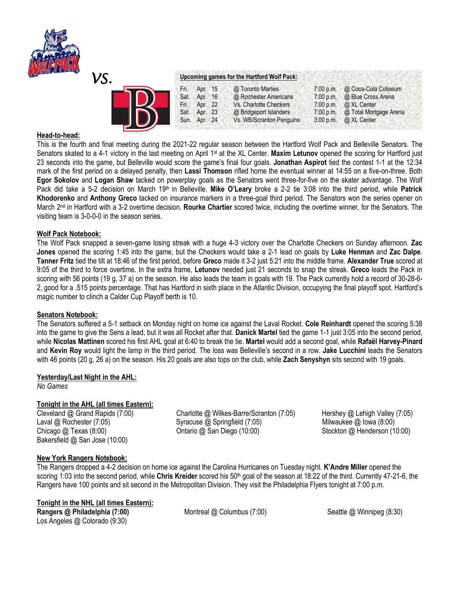

| VS. |                                                                                       | Upcoming games for the Hartford Wolf Pack:                                                                                 |                                                                 |                                                                                                    |  |  |
|-----|---------------------------------------------------------------------------------------|----------------------------------------------------------------------------------------------------------------------------|-----------------------------------------------------------------|----------------------------------------------------------------------------------------------------|--|--|
|     | Apr. 15<br>Fri.<br>Sat. Apr. 16<br>Fri.<br>Apr. 22<br>Apr. 23<br>Sat.<br>Sun. Apr. 24 | @ Toronto Marlies<br>@ Rochester Americans<br>Vs. Charlotte Checkers<br>@ Bridgeport Islanders<br>Vs. WB/Scranton Penguins | $7:00$ p.m.<br>7:00 p.m.<br>7:00 p.m.<br>7:00 p.m.<br>3:00 p.m. | @ Coca-Cola Coliseum<br>@ Blue Cross Arena<br>@ XL Center<br>@ Total Mortgage Arena<br>@ XL Center |  |  |

# **Head-to-head:**

This is the fourth and final meeting during the 2021-22 regular season between the Hartford Wolf Pack and Belleville Senators. The Senators skated to a 4-1 victory in the last meeting on April 1st at the XL Center. **Maxim Letunov** opened the scoring for Hartford just 23 seconds into the game, but Belleville would score the game's final four goals. **Jonathan Aspirot** tied the contest 1-1 at the 12:34 mark of the first period on a delayed penalty, then **Lassi Thomson** rifled home the eventual winner at 14:55 on a five-on-three. Both **Egor Sokolov** and **Logan Shaw** tacked on powerplay goals as the Senators went three-for-five on the skater advantage. The Wolf Pack did take a 5-2 decision on March 19th in Belleville. **Mike O'Leary** broke a 2-2 tie 3:08 into the third period, while **Patrick Khodorenko** and **Anthony Greco** tacked on insurance markers in a three-goal third period. The Senators won the series opener on March 2nd in Hartford with a 3-2 overtime decision. **Rourke Chartier** scored twice, including the overtime winner, for the Senators. The visiting team is 3-0-0-0 in the season series.

#### **Wolf Pack Notebook:**

The Wolf Pack snapped a seven-game losing streak with a huge 4-3 victory over the Charlotte Checkers on Sunday afternoon. **Zac Jones** opened the scoring 1:45 into the game, but the Checkers would take a 2-1 lead on goals by **Luke Henman** and **Zac Dalpe**. **Tanner Fritz** tied the tilt at 18:46 of the first period, before **Greco** made it 3-2 just 5:21 into the middle frame. **Alexander True** scored at 9:05 of the third to force overtime. In the extra frame, **Letunov** needed just 21 seconds to snap the streak. **Greco** leads the Pack in scoring with 56 points (19 g, 37 a) on the season. He also leads the team in goals with 19. The Pack currently hold a record of 30-28-6- 2, good for a .515 points percentage. That has Hartford in sixth place in the Atlantic Division, occupying the final playoff spot. Hartford's magic number to clinch a Calder Cup Playoff berth is 10.

#### **Senators Notebook:**

The Senators suffered a 5-1 setback on Monday night on home ice against the Laval Rocket. **Cole Reinhardt** opened the scoring 5:38 into the game to give the Sens a lead, but it was all Rocket after that. **Danick Martel** tied the game 1-1 just 3:05 into the second period, while **Nicolas Mattinen** scored his first AHL goal at 6:40 to break the tie. **Martel** would add a second goal, while **Rafaël Harvey-Pinard**  and **Kevin Roy** would light the lamp in the third period. The loss was Belleville's second in a row. **Jake Lucchini** leads the Senators with 46 points (20 g, 26 a) on the season. His 20 goals are also tops on the club, while **Zach Senyshyn** sits second with 19 goals.

#### **Yesterday/Last Night in the AHL:**

*No Games* 

## **Tonight in the AHL (all times Eastern):**

Bakersfield @ San Jose (10:00)

Cleveland @ Grand Rapids (7:00) Charlotte @ Wilkes-Barre/Scranton (7:05) Hershey @ Lehigh Valley (7:05) Laval @ Rochester (7:05) Syracuse @ Springfield (7:05) Milwaukee @ Iowa (8:00) Chicago @ Texas (8:00) Ontario @ San Diego (10:00) Stockton @ Henderson (10:00)

## **New York Rangers Notebook:**

The Rangers dropped a 4-2 decision on home ice against the Carolina Hurricanes on Tuesday night. **K'Andre Miller** opened the scoring 1:03 into the second period, while Chris Kreider scored his 50<sup>th</sup> goal of the season at 18:22 of the third. Currently 47-21-6, the Rangers have 100 points and sit second in the Metropolitan Division. They visit the Philadelphia Flyers tonight at 7:00 p.m.

## **Tonight in the NHL (all times Eastern):**

Los Angeles @ Colorado (9:30)

**Rangers @ Philadelphia** (7:00) **Montreal @ Columbus (7:00) Seattle @ Winnipeg (8:30)**